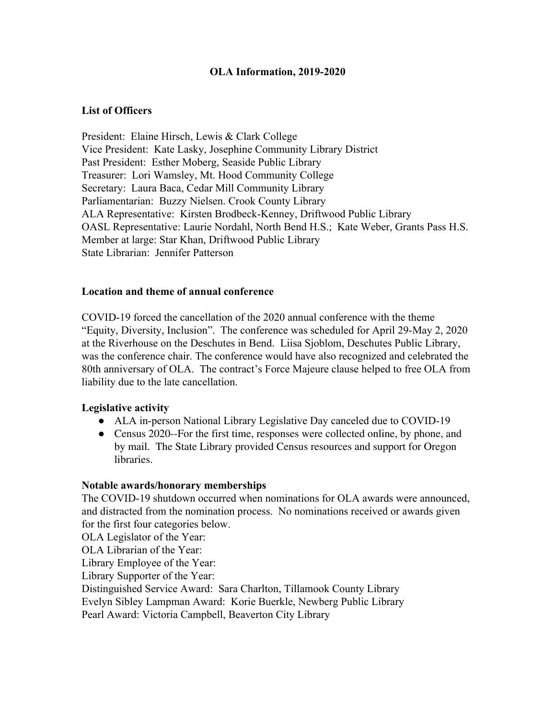## **OLA Information, 2019-2020**

### **List of Officers**

President: Elaine Hirsch, Lewis & Clark College Vice President: Kate Lasky, Josephine Community Library District Past President: Esther Moberg, Seaside Public Library Treasurer: Lori Wamsley, Mt. Hood Community College Secretary: Laura Baca, Cedar Mill Community Library Parliamentarian: Buzzy Nielsen. Crook County Library ALA Representative: Kirsten Brodbeck-Kenney, Driftwood Public Library OASL Representative: Laurie Nordahl, North Bend H.S.; Kate Weber, Grants Pass H.S. Member at large: Star Khan, Driftwood Public Library State Librarian: Jennifer Patterson

### **Location and theme of annual conference**

COVID-19 forced the cancellation of the 2020 annual conference with the theme "Equity, Diversity, Inclusion". The conference was scheduled for April 29-May 2, 2020 at the Riverhouse on the Deschutes in Bend. Liisa Sjoblom, Deschutes Public Library, was the conference chair. The conference would have also recognized and celebrated the 80th anniversary of OLA. The contract's Force Majeure clause helped to free OLA from liability due to the late cancellation.

### **Legislative activity**

- ALA in-person National Library Legislative Day canceled due to COVID-19
- Census 2020--For the first time, responses were collected online, by phone, and by mail. The State Library provided Census resources and support for Oregon libraries.

### **Notable awards/honorary memberships**

The COVID-19 shutdown occurred when nominations for OLA awards were announced, and distracted from the nomination process. No nominations received or awards given for the first four categories below.

OLA Legislator of the Year:

OLA Librarian of the Year:

Library Employee of the Year:

Library Supporter of the Year:

Distinguished Service Award: Sara Charlton, Tillamook County Library

Evelyn Sibley Lampman Award: Korie Buerkle, Newberg Public Library

Pearl Award: Victoria Campbell, Beaverton City Library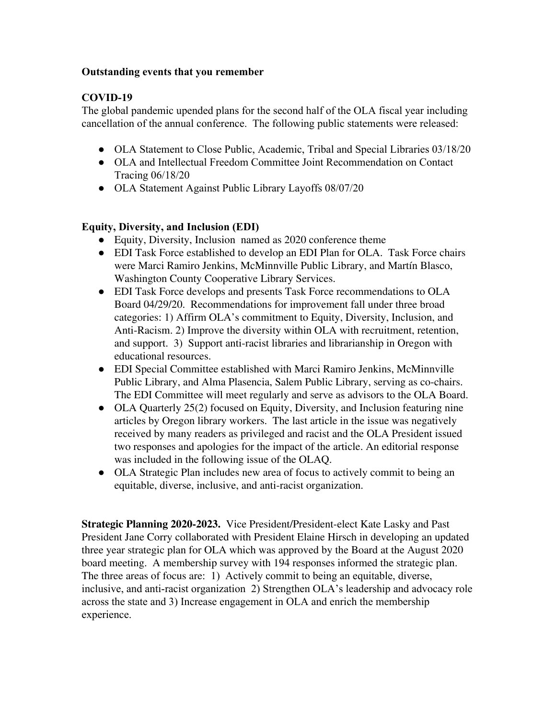## **Outstanding events that you remember**

## **COVID-19**

The global pandemic upended plans for the second half of the OLA fiscal year including cancellation of the annual conference. The following public statements were released:

- OLA Statement to Close Public, Academic, Tribal and Special Libraries 03/18/20
- OLA and Intellectual Freedom Committee Joint Recommendation on Contact Tracing 06/18/20
- OLA Statement Against Public Library Layoffs 08/07/20

# **Equity, Diversity, and Inclusion (EDI)**

- Equity, Diversity, Inclusion named as 2020 conference theme
- EDI Task Force established to develop an EDI Plan for OLA. Task Force chairs were Marci Ramiro Jenkins, McMinnville Public Library, and Martín Blasco, Washington County Cooperative Library Services.
- EDI Task Force develops and presents Task Force recommendations to OLA Board 04/29/20. Recommendations for improvement fall under three broad categories: 1) Affirm OLA's commitment to Equity, Diversity, Inclusion, and Anti-Racism. 2) Improve the diversity within OLA with recruitment, retention, and support. 3) Support anti-racist libraries and librarianship in Oregon with educational resources.
- EDI Special Committee established with Marci Ramiro Jenkins, McMinnville Public Library, and Alma Plasencia, Salem Public Library, serving as co-chairs. The EDI Committee will meet regularly and serve as advisors to the OLA Board.
- OLA Quarterly 25(2) focused on Equity, Diversity, and Inclusion featuring nine articles by Oregon library workers. The last article in the issue was negatively received by many readers as privileged and racist and the OLA President issued two responses and apologies for the impact of the article. An editorial response was included in the following issue of the OLAQ.
- OLA Strategic Plan includes new area of focus to actively commit to being an equitable, diverse, inclusive, and anti-racist organization.

**Strategic Planning 2020-2023.** Vice President/President-elect Kate Lasky and Past President Jane Corry collaborated with President Elaine Hirsch in developing an updated three year strategic plan for OLA which was approved by the Board at the August 2020 board meeting. A membership survey with 194 responses informed the strategic plan. The three areas of focus are: 1) Actively commit to being an equitable, diverse, inclusive, and anti-racist organization 2) Strengthen OLA's leadership and advocacy role across the state and 3) Increase engagement in OLA and enrich the membership experience.